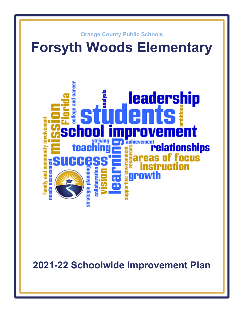

**2021-22 Schoolwide Improvement Plan**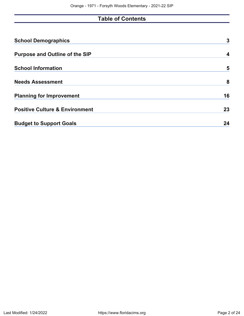# **Table of Contents**

| <b>School Demographics</b>                | 3  |
|-------------------------------------------|----|
| <b>Purpose and Outline of the SIP</b>     | 4  |
| <b>School Information</b>                 | 5  |
| <b>Needs Assessment</b>                   | 8  |
| <b>Planning for Improvement</b>           | 16 |
| <b>Positive Culture &amp; Environment</b> | 23 |
| <b>Budget to Support Goals</b>            | 24 |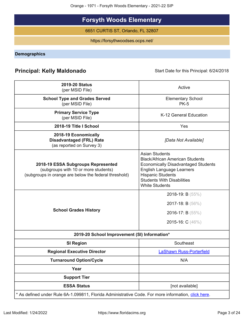Orange - 1971 - Forsyth Woods Elementary - 2021-22 SIP

# **Forsyth Woods Elementary**

6651 CURTIS ST, Orlando, FL 32807

https://forsythwoodses.ocps.net/

# <span id="page-2-0"></span>**Demographics**

# **Principal: Kelly Maldonado** Start Date for this Principal: 6/24/2018

| <b>2019-20 Status</b><br>(per MSID File)                                                                                            | Active                                                                                                                                                                                                                                      |
|-------------------------------------------------------------------------------------------------------------------------------------|---------------------------------------------------------------------------------------------------------------------------------------------------------------------------------------------------------------------------------------------|
| <b>School Type and Grades Served</b><br>(per MSID File)                                                                             | <b>Elementary School</b><br><b>PK-5</b>                                                                                                                                                                                                     |
| <b>Primary Service Type</b><br>(per MSID File)                                                                                      | K-12 General Education                                                                                                                                                                                                                      |
| 2018-19 Title I School                                                                                                              | Yes                                                                                                                                                                                                                                         |
| 2018-19 Economically<br><b>Disadvantaged (FRL) Rate</b><br>(as reported on Survey 3)                                                | [Data Not Available]                                                                                                                                                                                                                        |
| 2018-19 ESSA Subgroups Represented<br>(subgroups with 10 or more students)<br>(subgroups in orange are below the federal threshold) | <b>Asian Students</b><br><b>Black/African American Students</b><br><b>Economically Disadvantaged Students</b><br><b>English Language Learners</b><br><b>Hispanic Students</b><br><b>Students With Disabilities</b><br><b>White Students</b> |
| <b>School Grades History</b>                                                                                                        | 2018-19: B $(55%)$<br>2017-18: B $(56\%)$<br>2016-17: B $(55%)$<br>2015-16: C (46%)                                                                                                                                                         |
| 2019-20 School Improvement (SI) Information*                                                                                        |                                                                                                                                                                                                                                             |
| <b>SI Region</b>                                                                                                                    | Southeast                                                                                                                                                                                                                                   |
| <b>Regional Executive Director</b>                                                                                                  | <b>LaShawn Russ-Porterfield</b>                                                                                                                                                                                                             |
| <b>Turnaround Option/Cycle</b>                                                                                                      | N/A                                                                                                                                                                                                                                         |
| Year                                                                                                                                |                                                                                                                                                                                                                                             |
| <b>Support Tier</b>                                                                                                                 |                                                                                                                                                                                                                                             |
| <b>ESSA Status</b>                                                                                                                  | [not available]                                                                                                                                                                                                                             |
| * As defined under Rule 6A-1.099811, Florida Administrative Code. For more information, click here.                                 |                                                                                                                                                                                                                                             |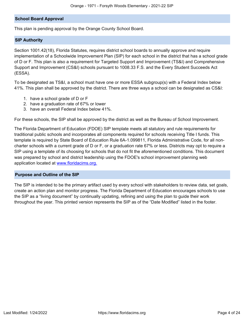#### **School Board Approval**

This plan is pending approval by the Orange County School Board.

#### **SIP Authority**

Section 1001.42(18), Florida Statutes, requires district school boards to annually approve and require implementation of a Schoolwide Improvement Plan (SIP) for each school in the district that has a school grade of D or F. This plan is also a requirement for Targeted Support and Improvement (TS&I) and Comprehensive Support and Improvement (CS&I) schools pursuant to 1008.33 F.S. and the Every Student Succeeds Act (ESSA).

To be designated as TS&I, a school must have one or more ESSA subgroup(s) with a Federal Index below 41%. This plan shall be approved by the district. There are three ways a school can be designated as CS&I:

- 1. have a school grade of D or F
- 2. have a graduation rate of 67% or lower
- 3. have an overall Federal Index below 41%.

For these schools, the SIP shall be approved by the district as well as the Bureau of School Improvement.

The Florida Department of Education (FDOE) SIP template meets all statutory and rule requirements for traditional public schools and incorporates all components required for schools receiving Title I funds. This template is required by State Board of Education Rule 6A-1.099811, Florida Administrative Code, for all noncharter schools with a current grade of D or F, or a graduation rate 67% or less. Districts may opt to require a SIP using a template of its choosing for schools that do not fit the aforementioned conditions. This document was prepared by school and district leadership using the FDOE's school improvement planning web application located at [www.floridacims.org.](https://www.floridacims.org)

#### <span id="page-3-0"></span>**Purpose and Outline of the SIP**

The SIP is intended to be the primary artifact used by every school with stakeholders to review data, set goals, create an action plan and monitor progress. The Florida Department of Education encourages schools to use the SIP as a "living document" by continually updating, refining and using the plan to guide their work throughout the year. This printed version represents the SIP as of the "Date Modified" listed in the footer.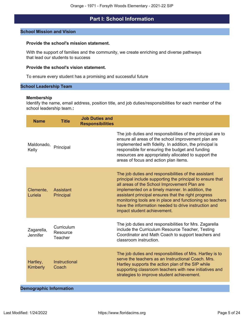# **Part I: School Information**

#### <span id="page-4-0"></span>**School Mission and Vision**

#### **Provide the school's mission statement.**

With the support of families and the community, we create enriching and diverse pathways that lead our students to success

#### **Provide the school's vision statement.**

To ensure every student has a promising and successful future

#### **School Leadership Team**

#### **Membership**

Identify the name, email address, position title, and job duties/responsibilities for each member of the school leadership team.**:**

| <b>Name</b>                   | <b>Title</b>                      | <b>Job Duties and</b><br><b>Responsibilities</b> |                                                                                                                                                                                                                                                                                                                                                                                                                                  |
|-------------------------------|-----------------------------------|--------------------------------------------------|----------------------------------------------------------------------------------------------------------------------------------------------------------------------------------------------------------------------------------------------------------------------------------------------------------------------------------------------------------------------------------------------------------------------------------|
| Maldonado, Principal<br>Kelly |                                   |                                                  | The job duties and responsibilities of the principal are to<br>ensure all areas of the school improvement plan are<br>implemented with fidelity. In addition, the principal is<br>responsible for ensuring the budget and funding<br>resources are appropriately allocated to support the<br>areas of focus and action plan items.                                                                                               |
| Clemente,<br>Luriela          | Assistant<br>Principal            |                                                  | The job duties and responsibilities of the assistant<br>principal include supporting the principal to ensure that<br>all areas of the School Improvement Plan are<br>implemented on a timely manner. In addition, the<br>assistant principal ensures that the right progress<br>monitoring tools are in place and functioning so teachers<br>have the information needed to drive instruction and<br>impact student achievement. |
| Zagarella,<br>Jennifer        | Curriculum<br>Resource<br>Teacher |                                                  | The job duties and responsibilities for Mrs. Zagarella<br>include the Curriculum Resource Teacher, Testing<br>Coordinator and Math Coach to support teachers and<br>classroom instruction.                                                                                                                                                                                                                                       |
| Hartley,<br><b>Kimberly</b>   | Instructional<br>Coach            |                                                  | The job duties and responsibilities of Mrs. Hartley is to<br>serve the teachers as an Instructional Coach. Mrs.<br>Hartley supports the action plan of the SIP while<br>supporting classroom teachers with new initiatives and<br>strategies to improve student achievement.                                                                                                                                                     |
|                               |                                   |                                                  |                                                                                                                                                                                                                                                                                                                                                                                                                                  |

# **Demographic Information**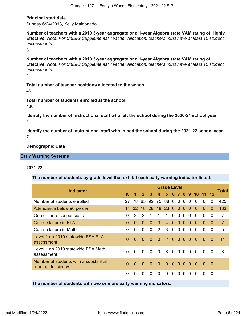#### **Principal start date**

Sunday 6/24/2018, Kelly Maldonado

**Number of teachers with a 2019 3-year aggregate or a 1-year Algebra state VAM rating of Highly Effective.** *Note: For UniSIG Supplemental Teacher Allocation, teachers must have at least 10 student assessments.*

3

**Number of teachers with a 2019 3-year aggregate or a 1-year Algebra state VAM rating of Effective.** *Note: For UniSIG Supplemental Teacher Allocation, teachers must have at least 10 student assessments.*

4

**Total number of teacher positions allocated to the school** 46

**Total number of students enrolled at the school** 430

**Identify the number of instructional staff who left the school during the 2020-21 school year.** 1

**Identify the number of instructional staff who joined the school during the 2021-22 school year.** 7

**Demographic Data**

**Early Warning Systems**

#### **2021-22**

**The number of students by grade level that exhibit each early warning indicator listed:**

|                                                                                                                 |          |          |               |                    |                | <b>Grade Level</b> |                |                |                |          |                 |          |          | Total          |
|-----------------------------------------------------------------------------------------------------------------|----------|----------|---------------|--------------------|----------------|--------------------|----------------|----------------|----------------|----------|-----------------|----------|----------|----------------|
| <b>Indicator</b>                                                                                                | K        |          | $\mathbf{2}$  | 3                  | 4              | 5                  |                |                | 6 7 8          | $-9$     | 10 <sup>°</sup> | 11       |          |                |
| Number of students enrolled                                                                                     | 27       | 78.      | 65            | 92                 | 75 88          |                    | $\overline{0}$ | $\overline{0}$ | $\Omega$       | $\Omega$ | $\Omega$        | $\Omega$ | 0        | 425            |
| Attendance below 90 percent                                                                                     | 14       |          |               | 32 18 28 18 23 0 0 |                |                    |                |                | $\overline{0}$ | $\Omega$ | 0               | $\Omega$ | $\Omega$ | 133            |
| One or more suspensions                                                                                         | $\Omega$ | 2        | $\mathcal{P}$ |                    |                | 1                  | 0              | $\Omega$       | $\Omega$       | $\Omega$ | $\Omega$        | $\Omega$ | $\Omega$ | $\overline{7}$ |
| Course failure in ELA                                                                                           | $\Omega$ | $\Omega$ | $\Omega$      | $\Omega$           | 3              | $\overline{4}$     | $\Omega$       | $\Omega$       | $\Omega$       | $\Omega$ | $\Omega$        | $\Omega$ | $\Omega$ | $\overline{7}$ |
| Course failure in Math                                                                                          | $\Omega$ | 0        | $\Omega$      | $\Omega$           | $\overline{2}$ | 3                  | $\overline{0}$ | $\overline{0}$ | $\Omega$       | $\Omega$ | $\Omega$        | $\Omega$ | 0        | 5              |
| Level 1 on 2019 statewide FSA ELA<br>assessment                                                                 | $\Omega$ | $\Omega$ | $\Omega$      | $\Omega$           | $\Omega$       | 11                 | $\overline{0}$ | $\Omega$       | $\Omega$       | $\Omega$ | $\Omega$        | $\Omega$ | $\Omega$ | 11             |
| Level 1 on 2019 statewide FSA Math<br>assessment                                                                | $\Omega$ | $\Omega$ | $\Omega$      | $\Omega$           | $\overline{0}$ | 8                  | $0000$         |                |                |          | $\overline{0}$  | $\Omega$ | $\Omega$ | 8              |
| Number of students with a substantial<br>reading deficiency                                                     | $\Omega$ | $\Omega$ | $\Omega$      | $\Omega$           | $\Omega$       | $\overline{0}$     | $\overline{0}$ | $\Omega$       | $\overline{0}$ | $\Omega$ | $\Omega$        | $\Omega$ | $\Omega$ |                |
|                                                                                                                 | $\Omega$ | $\Omega$ | $\Omega$      | $\Omega$           | $\Omega$       | $\Omega$           | $\Omega$       | $\Omega$       | $\Omega$       | $\Omega$ | $\Omega$        | $\Omega$ | $\Omega$ |                |
| the contract of the contract of the contract of the contract of the contract of the contract of the contract of |          |          |               |                    |                |                    |                |                |                |          |                 |          |          |                |

**The number of students with two or more early warning indicators:**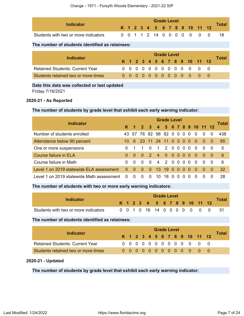| <b>Indicator</b>                     |  |  | <b>Grade Level</b> |  |  |                              |       |
|--------------------------------------|--|--|--------------------|--|--|------------------------------|-------|
|                                      |  |  |                    |  |  | K 1 2 3 4 5 6 7 8 9 10 11 12 | Total |
| Students with two or more indicators |  |  |                    |  |  | 0 0 1 1 2 14 0 0 0 0 0 0 0   |       |

#### **The number of students identified as retainees:**

| Indicator                              | <b>Grade Level</b> |  |  |  |  |  |  |  |  |  |  |                              |  |       |  |
|----------------------------------------|--------------------|--|--|--|--|--|--|--|--|--|--|------------------------------|--|-------|--|
|                                        |                    |  |  |  |  |  |  |  |  |  |  | K 1 2 3 4 5 6 7 8 9 10 11 12 |  | Total |  |
| <b>Retained Students: Current Year</b> |                    |  |  |  |  |  |  |  |  |  |  | 0 0 0 0 0 0 0 0 0 0 0 0 0    |  |       |  |
| Students retained two or more times    |                    |  |  |  |  |  |  |  |  |  |  | 0 0 0 0 0 0 0 0 0 0 0 0 0    |  |       |  |

# **Date this data was collected or last updated**

Friday 7/16/2021

#### **2020-21 - As Reported**

#### **The number of students by grade level that exhibit each early warning indicator:**

| <b>Indicator</b>                          |          |          |                     |                |                | <b>Grade Level</b> |          |          |                |          |                      |                |     |       |
|-------------------------------------------|----------|----------|---------------------|----------------|----------------|--------------------|----------|----------|----------------|----------|----------------------|----------------|-----|-------|
|                                           | K.       | 47       | $2 \quad 3$         |                |                |                    |          |          |                |          | 4 5 6 7 8 9 10 11 12 |                |     | Total |
| Number of students enrolled               |          |          | 43 57 76 82 98 82 0 |                |                |                    |          | 0        | 0 <sub>0</sub> |          | - 0                  | - 0            | - 0 | 438   |
| Attendance below 90 percent               | 10.      | 6        | 23 11 24 11 0 0 0 0 |                |                |                    |          |          |                |          | $\sim 0$             | - 0            | - 0 | 85    |
| One or more suspensions                   | 0        |          | $\overline{1}$      | $\Omega$       | $\overline{1}$ | 20000              |          |          |                |          | - 0                  | $\overline{0}$ | - 0 | $-5$  |
| Course failure in ELA                     | $\Omega$ | $\Omega$ | $\Omega$            | $\blacksquare$ |                | 4 0 0 0 0 0        |          |          |                |          | - 0                  | - 0            | - 0 | - 6   |
| Course failure in Math                    | $\Omega$ | $\Omega$ | $\Omega$            | $\Omega$       |                | 4 2 0 0            |          |          | - 0            | $\Omega$ | - 0                  | -0             | - 0 | 6     |
| Level 1 on 2019 statewide ELA assessment  | $\Omega$ | $\Omega$ | $\Omega$            | $\overline{0}$ | 13 19 0        |                    |          | $\Omega$ | $\Omega$       | 0        | - 0                  | -0             | - 0 | 32    |
| Level 1 on 2019 statewide Math assessment | $\Omega$ | $\Omega$ | $\Omega$            | $\Omega$       | 10             | 18.                | $\Omega$ |          | $\Omega$       | $\Omega$ |                      |                |     | 28    |

#### **The number of students with two or more early warning indicators:**

|                                      |  |  |                              | <b>Grade Level</b> |  |  |  |       |
|--------------------------------------|--|--|------------------------------|--------------------|--|--|--|-------|
| Indicator                            |  |  | K 1 2 3 4 5 6 7 8 9 10 11 12 |                    |  |  |  | Total |
| Students with two or more indicators |  |  | 0 0 1 0 16 14 0 0 0 0 0 0 0  |                    |  |  |  |       |

#### **The number of students identified as retainees:**

| Indicator                              |  |  |  | <b>Grade Level</b> |  |  |                              | Total |
|----------------------------------------|--|--|--|--------------------|--|--|------------------------------|-------|
|                                        |  |  |  |                    |  |  | K 1 2 3 4 5 6 7 8 9 10 11 12 |       |
| <b>Retained Students: Current Year</b> |  |  |  |                    |  |  | 0 0 0 0 0 0 0 0 0 0 0 0 0    |       |
| Students retained two or more times    |  |  |  |                    |  |  | 0 0 0 0 0 0 0 0 0 0 0 0 0    |       |

#### **2020-21 - Updated**

**The number of students by grade level that exhibit each early warning indicator:**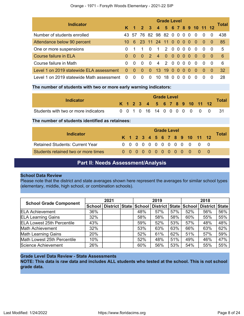| <b>Indicator</b>                          |              |                      |                     |               |                     | <b>Grade Level</b> |          |                   |          |     |                        |           |          | Total |
|-------------------------------------------|--------------|----------------------|---------------------|---------------|---------------------|--------------------|----------|-------------------|----------|-----|------------------------|-----------|----------|-------|
|                                           |              | $\blacktriangleleft$ | 2 <sup>7</sup>      | $\mathbf{3}$  |                     |                    |          |                   |          |     | 4 5 6 7 8 9 10 11 12   |           |          |       |
| Number of students enrolled               |              |                      | 43 57 76 82 98 82 0 |               |                     |                    |          | $0\quad 0\quad 0$ |          |     | - 0                    | $\Omega$  | $\Omega$ | 438   |
| Attendance below 90 percent               | 10           | 6                    |                     |               | 23 11 24 11 0 0 0 0 |                    |          |                   |          |     | - 0                    | $\bullet$ | - 0      | 85    |
| One or more suspensions                   |              | $\overline{1}$       | $\overline{1}$      | $\Omega$      | $\overline{1}$      | 2 0                |          | 000               |          |     | - 0                    | $\Omega$  | - 0      | 5     |
| Course failure in ELA                     | $\Omega$     | $\Omega$             | $\Omega$            | $\mathcal{P}$ | $\overline{4}$      | $\sim 0$           | -0       | - 0               | $\sim 0$ | - 0 | $\blacktriangle$ 0 -   | $\bullet$ | - 0      | - 6   |
| Course failure in Math                    | <sup>0</sup> | $\Omega$             | $\Omega$            | $\Omega$      | $\overline{4}$      | $\overline{2}$     | $\Omega$ | 0 <sub>0</sub>    |          | - 0 | $\Omega$               | $\Omega$  | - 0      | - 6   |
| Level 1 on 2019 statewide ELA assessment  | $\Omega$     | $\Omega$             | $\Omega$            | $\Omega$      | 13 <sup>°</sup>     | $-19$              | - 0      | $\Omega$          | $\Omega$ | - 0 | $\blacktriangleleft 0$ | $\Omega$  | - 0      | -32   |
| Level 1 on 2019 statewide Math assessment | $\Omega$     | $\Omega$             | $\Omega$            | $\Omega$      | 10                  | 18                 |          | $\mathbf{U}$      |          |     | $\Omega$               |           | $\Omega$ | 28    |

#### **The number of students with two or more early warning indicators:**

| Indicator                            |  |  |                              | <b>Grade Level</b> |  |  |  |   |              |
|--------------------------------------|--|--|------------------------------|--------------------|--|--|--|---|--------------|
|                                      |  |  | K 1 2 3 4 5 6 7 8 9 10 11 12 |                    |  |  |  |   | <b>Total</b> |
| Students with two or more indicators |  |  | 0 0 1 0 16 14 0 0 0 0 0 0    |                    |  |  |  | 0 |              |

#### **The number of students identified as retainees:**

| Indicator                              |  |  |  |  | <b>Grade Level</b> |  |                              |  |              |  |  |  |  |  |  |  |  |  |  |
|----------------------------------------|--|--|--|--|--------------------|--|------------------------------|--|--------------|--|--|--|--|--|--|--|--|--|--|
|                                        |  |  |  |  |                    |  | K 1 2 3 4 5 6 7 8 9 10 11 12 |  | <b>Total</b> |  |  |  |  |  |  |  |  |  |  |
| <b>Retained Students: Current Year</b> |  |  |  |  |                    |  | 0 0 0 0 0 0 0 0 0 0 0 0      |  |              |  |  |  |  |  |  |  |  |  |  |
| Students retained two or more times    |  |  |  |  |                    |  | 0000000000000                |  |              |  |  |  |  |  |  |  |  |  |  |

# **Part II: Needs Assessment/Analysis**

#### <span id="page-7-0"></span>**School Data Review**

Please note that the district and state averages shown here represent the averages for similar school types (elementary, middle, high school, or combination schools).

|                                   | 2021 |  |  | 2019 |                                                                |     | 2018 |                |     |
|-----------------------------------|------|--|--|------|----------------------------------------------------------------|-----|------|----------------|-----|
| <b>School Grade Component</b>     |      |  |  |      | School   District   State   School   District   State   School |     |      | District State |     |
| <b>ELA Achievement</b>            | 36%  |  |  | 48%  | 57%                                                            | 57% | 52%  | 56%            | 56% |
| <b>ELA Learning Gains</b>         | 32%  |  |  | 58%  | 58%                                                            | 58% | 60%  | 55%            | 55% |
| <b>ELA Lowest 25th Percentile</b> | 43%  |  |  | 59%  | 52%                                                            | 53% | 57%  | 48%            | 48% |
| Math Achievement                  | 32%  |  |  | 53%  | 63%                                                            | 63% | 66%  | 63%            | 62% |
| <b>Math Learning Gains</b>        | 20%  |  |  | 52%  | 61%                                                            | 62% | 51%  | 57%            | 59% |
| Math Lowest 25th Percentile       | 10%  |  |  | 52%  | 48%                                                            | 51% | 49%  | 46%            | 47% |
| Science Achievement               | 26%  |  |  | 60%  | 56%                                                            | 53% | 54%  | 55%            | 55% |

### **Grade Level Data Review - State Assessments**

**NOTE: This data is raw data and includes ALL students who tested at the school. This is not school grade data.**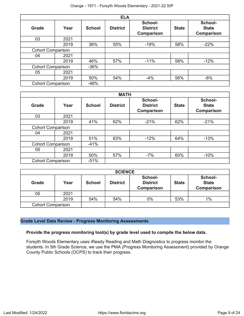|                          |      |               | <b>ELA</b>      |                                          |              |                                              |
|--------------------------|------|---------------|-----------------|------------------------------------------|--------------|----------------------------------------------|
| <b>Grade</b>             | Year | <b>School</b> | <b>District</b> | School-<br><b>District</b><br>Comparison | <b>State</b> | School-<br><b>State</b><br><b>Comparison</b> |
| 03                       | 2021 |               |                 |                                          |              |                                              |
|                          | 2019 | 36%           | 55%             | $-19%$                                   | 58%          | $-22%$                                       |
| <b>Cohort Comparison</b> |      |               |                 |                                          |              |                                              |
| 04                       | 2021 |               |                 |                                          |              |                                              |
|                          | 2019 | 46%           | 57%             | $-11%$                                   | 58%          | $-12%$                                       |
| <b>Cohort Comparison</b> |      | $-36%$        |                 |                                          |              |                                              |
| 05                       | 2021 |               |                 |                                          |              |                                              |
|                          | 2019 | 50%           | 54%             | $-4%$                                    | 56%          | $-6%$                                        |
| <b>Cohort Comparison</b> |      | $-46%$        |                 |                                          |              |                                              |

|                          |      |               | <b>MATH</b>     |                                                 |              |                                              |
|--------------------------|------|---------------|-----------------|-------------------------------------------------|--------------|----------------------------------------------|
| <b>Grade</b>             | Year | <b>School</b> | <b>District</b> | School-<br><b>District</b><br><b>Comparison</b> | <b>State</b> | School-<br><b>State</b><br><b>Comparison</b> |
| 03                       | 2021 |               |                 |                                                 |              |                                              |
|                          | 2019 | 41%           | 62%             | $-21%$                                          | 62%          | $-21%$                                       |
| <b>Cohort Comparison</b> |      |               |                 |                                                 |              |                                              |
| 04                       | 2021 |               |                 |                                                 |              |                                              |
|                          | 2019 | 51%           | 63%             | $-12%$                                          | 64%          | $-13%$                                       |
| <b>Cohort Comparison</b> |      | $-41%$        |                 |                                                 |              |                                              |
| 05                       | 2021 |               |                 |                                                 |              |                                              |
|                          | 2019 | 50%           | 57%             | $-7%$                                           | 60%          | $-10%$                                       |
| <b>Cohort Comparison</b> |      | $-51%$        |                 |                                                 |              |                                              |

|                          |      |               | <b>SCIENCE</b>  |                                          |              |                                       |
|--------------------------|------|---------------|-----------------|------------------------------------------|--------------|---------------------------------------|
| <b>Grade</b>             | Year | <b>School</b> | <b>District</b> | School-<br><b>District</b><br>Comparison | <b>State</b> | School-<br><b>State</b><br>Comparison |
| 05                       | 2021 |               |                 |                                          |              |                                       |
|                          | 2019 | 54%           | 54%             | 0%                                       | 53%          | $1\%$                                 |
| <b>Cohort Comparison</b> |      |               |                 |                                          |              |                                       |

# **Grade Level Data Review - Progress Monitoring Assessments**

### **Provide the progress monitoring tool(s) by grade level used to compile the below data.**

Forsyth Woods Elementary uses iReady Reading and Math Diagnostics to progress monitor the students. In 5th Grade Science, we use the PMA (Progress Monitoring Assessment) provided by Orange County Public Schools (OCPS) to track their progress.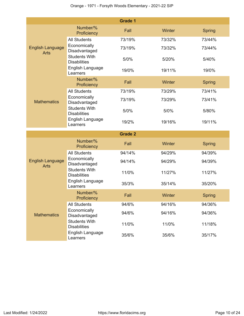|                                        |                                                                 | <b>Grade 1</b> |        |               |
|----------------------------------------|-----------------------------------------------------------------|----------------|--------|---------------|
|                                        | Number/%<br>Proficiency                                         | Fall           | Winter | <b>Spring</b> |
| <b>English Language</b><br><b>Arts</b> | <b>All Students</b>                                             | 73/19%         | 73/32% | 73/44%        |
|                                        | Economically<br>Disadvantaged                                   | 73/19%         | 73/32% | 73/44%        |
|                                        | <b>Students With</b><br><b>Disabilities</b>                     | 5/0%           | 5/20%  | 5/40%         |
|                                        | English Language<br>Learners                                    | 19/0%          | 19/11% | 19/0%         |
|                                        | Number/%<br>Proficiency                                         | Fall           | Winter | <b>Spring</b> |
|                                        | <b>All Students</b>                                             | 73/19%         | 73/29% | 73/41%        |
| <b>Mathematics</b>                     | Economically<br>Disadvantaged                                   | 73/19%         | 73/29% | 73/41%        |
|                                        | <b>Students With</b><br><b>Disabilities</b>                     | 5/0%           | 5/0%   | 5/80%         |
|                                        | English Language<br>Learners                                    | 19/2%          | 19/16% | 19/11%        |
|                                        |                                                                 |                |        |               |
|                                        |                                                                 | <b>Grade 2</b> |        |               |
|                                        | Number/%<br>Proficiency                                         | Fall           | Winter | <b>Spring</b> |
|                                        | <b>All Students</b>                                             | 94/14%         | 94/29% | 94/39%        |
| <b>English Language</b><br><b>Arts</b> | Economically<br>Disadvantaged                                   | 94/14%         | 94/29% | 94/39%        |
|                                        | <b>Students With</b><br><b>Disabilities</b>                     | 11/0%          | 11/27% | 11/27%        |
|                                        | English Language<br>Learners                                    | 35/3%          | 35/14% | 35/20%        |
|                                        | Number/%<br>Proficiency                                         | Fall           | Winter | Spring        |
|                                        | <b>All Students</b>                                             | 94/6%          | 94/16% | 94/36%        |
| <b>Mathematics</b>                     | Economically<br>Disadvantaged                                   | 94/6%          | 94/16% | 94/36%        |
|                                        | <b>Students With</b><br><b>Disabilities</b><br>English Language | 11/0%          | 11/0%  | 11/18%        |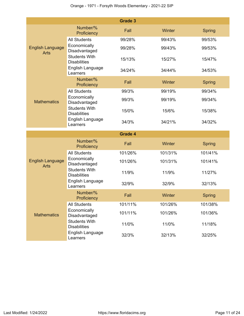|                                        |                                                                 | <b>Grade 3</b> |         |               |
|----------------------------------------|-----------------------------------------------------------------|----------------|---------|---------------|
|                                        | Number/%<br>Proficiency                                         | Fall           | Winter  | Spring        |
| <b>English Language</b><br><b>Arts</b> | <b>All Students</b>                                             | 99/28%         | 99/43%  | 99/53%        |
|                                        | Economically<br>Disadvantaged                                   | 99/28%         | 99/43%  | 99/53%        |
|                                        | <b>Students With</b><br><b>Disabilities</b>                     | 15/13%         | 15/27%  | 15/47%        |
|                                        | English Language<br>Learners                                    | 34/24%         | 34/44%  | 34/53%        |
|                                        | Number/%<br>Proficiency                                         | Fall           | Winter  | <b>Spring</b> |
|                                        | <b>All Students</b>                                             | 99/3%          | 99/19%  | 99/34%        |
| <b>Mathematics</b>                     | Economically<br>Disadvantaged                                   | 99/3%          | 99/19%  | 99/34%        |
|                                        | <b>Students With</b><br><b>Disabilities</b>                     | 15/0%          | 15/6%   | 15/38%        |
|                                        | English Language<br>Learners                                    | 34/3%          | 34/21%  | 34/32%        |
|                                        |                                                                 |                |         |               |
|                                        |                                                                 | <b>Grade 4</b> |         |               |
|                                        | Number/%<br>Proficiency                                         | Fall           | Winter  | Spring        |
|                                        | <b>All Students</b>                                             | 101/26%        | 101/31% | 101/41%       |
| <b>English Language</b>                | Economically<br>Disadvantaged                                   | 101/26%        | 101/31% | 101/41%       |
| <b>Arts</b>                            | <b>Students With</b><br><b>Disabilities</b>                     | 11/9%          | 11/9%   | 11/27%        |
|                                        | English Language<br>Learners                                    | 32/9%          | 32/9%   | 32/13%        |
|                                        | Number/%<br>Proficiency                                         | Fall           | Winter  | <b>Spring</b> |
|                                        | <b>All Students</b>                                             | 101/11%        | 101/26% | 101/38%       |
| <b>Mathematics</b>                     | Economically<br>Disadvantaged                                   | 101/11%        | 101/26% | 101/36%       |
|                                        | <b>Students With</b><br><b>Disabilities</b><br>English Language | 11/0%          | 11/0%   | 11/18%        |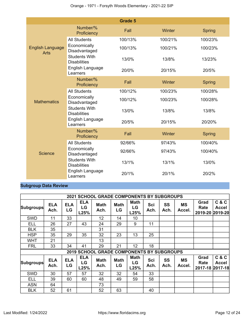|                                        |                                             | <b>Grade 5</b> |         |               |
|----------------------------------------|---------------------------------------------|----------------|---------|---------------|
|                                        | Number/%<br>Proficiency                     | Fall           | Winter  | Spring        |
| <b>English Language</b><br><b>Arts</b> | <b>All Students</b>                         | 100/13%        | 100/21% | 100/23%       |
|                                        | Economically<br>Disadvantaged               | 100/13%        | 100/21% | 100/23%       |
|                                        | <b>Students With</b><br><b>Disabilities</b> | 13/0%          | 13/8%   | 13/23%        |
|                                        | English Language<br>Learners                | 20/0%          | 20/15%  | 20/5%         |
|                                        | Number/%<br>Proficiency                     | Fall           | Winter  | <b>Spring</b> |
|                                        | <b>All Students</b>                         | 100/12%        | 100/23% | 100/28%       |
| <b>Mathematics</b>                     | Economically<br>Disadvantaged               | 100/12%        | 100/23% | 100/28%       |
|                                        | <b>Students With</b><br><b>Disabilities</b> | 13/0%          | 13/8%   | 13/8%         |
|                                        | English Language<br>Learners                | 20/5%          | 20/15%  | 20/20%        |
|                                        | Number/%<br>Proficiency                     | Fall           | Winter  | <b>Spring</b> |
|                                        | <b>All Students</b>                         | 92/66%         | 97/43%  | 100/40%       |
| Science                                | Economically<br>Disadvantaged               | 92/66%         | 97/43%  | 100/40%       |
|                                        | <b>Students With</b><br><b>Disabilities</b> | 13/1%          | 13/1%   | 13/0%         |
|                                        | English Language<br>Learners                | 20/1%          | 20/1%   | 20/2%         |

# **Subgroup Data Review**

|                  |                    |                  |                          | <b>2021 SCHOOL GRADE COMPONENTS BY SUBGROUPS</b> |                   |                           |             |                   |                     |                                 |                       |
|------------------|--------------------|------------------|--------------------------|--------------------------------------------------|-------------------|---------------------------|-------------|-------------------|---------------------|---------------------------------|-----------------------|
| <b>Subgroups</b> | <b>ELA</b><br>Ach. | <b>ELA</b><br>LG | <b>ELA</b><br>LG<br>L25% | <b>Math</b><br>Ach.                              | <b>Math</b><br>LG | <b>Math</b><br>LG<br>L25% | Sci<br>Ach. | <b>SS</b><br>Ach. | <b>MS</b><br>Accel. | Grad<br>Rate<br>2019-20 2019-20 | C & C<br>Accel        |
| <b>SWD</b>       | 11                 | 33               |                          | 12                                               | 14                | 10                        |             |                   |                     |                                 |                       |
| ELL              | 26                 | 27               | 43                       | 24                                               | 29                | 9                         | 11          |                   |                     |                                 |                       |
| <b>BLK</b>       | 35                 |                  |                          | 31                                               |                   |                           |             |                   |                     |                                 |                       |
| <b>HSP</b>       | 35                 | 29               | 35                       | 32                                               | 23                | 13                        | 25          |                   |                     |                                 |                       |
| WHT              | 21                 |                  |                          | 13                                               |                   |                           |             |                   |                     |                                 |                       |
| <b>FRL</b>       | 33                 | 34               | 41                       | 29                                               | 21                | 12                        | 18          |                   |                     |                                 |                       |
|                  |                    |                  |                          | 2019 SCHOOL GRADE COMPONENTS BY SUBGROUPS        |                   |                           |             |                   |                     |                                 |                       |
| <b>Subgroups</b> | <b>ELA</b><br>Ach. | <b>ELA</b><br>LG | <b>ELA</b><br>LG<br>L25% | <b>Math</b><br>Ach.                              | <b>Math</b><br>LG | <b>Math</b><br>LG<br>L25% | Sci<br>Ach. | SS<br>Ach.        | <b>MS</b><br>Accel. | Grad<br>Rate<br>2017-18 2017-18 | C & C<br><b>Accel</b> |
| <b>SWD</b>       | 30                 | 57               | 57                       | 32                                               | 32                | 54                        | 33          |                   |                     |                                 |                       |
| ELL              | 39                 | 60               | 60                       | 48                                               | 49                | 59                        | 58          |                   |                     |                                 |                       |
| <b>ASN</b>       | 64                 |                  |                          | 73                                               |                   |                           |             |                   |                     |                                 |                       |
| <b>BLK</b>       | 52                 | 61               |                          | 52                                               | 63                |                           | 40          |                   |                     |                                 |                       |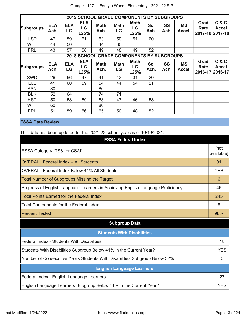|                  |                    |                  |                          | <b>2019 SCHOOL GRADE COMPONENTS BY SUBGROUPS</b> |                   |                           |             |            |                     |                                 |                                  |
|------------------|--------------------|------------------|--------------------------|--------------------------------------------------|-------------------|---------------------------|-------------|------------|---------------------|---------------------------------|----------------------------------|
| <b>Subgroups</b> | <b>ELA</b><br>Ach. | <b>ELA</b><br>LG | <b>ELA</b><br>LG<br>L25% | <b>Math</b><br>Ach.                              | <b>Math</b><br>LG | <b>Math</b><br>LG<br>L25% | Sci<br>Ach. | SS<br>Ach. | <b>MS</b><br>Accel. | Grad<br>Rate<br>2017-18 2017-18 | C & C<br><b>Accel</b>            |
| <b>HSP</b>       | 47                 | 59               | 61                       | 53                                               | 50                | 51                        | 60          |            |                     |                                 |                                  |
| <b>WHT</b>       | 44                 | 50               |                          | 44                                               | 30                |                           |             |            |                     |                                 |                                  |
| <b>FRL</b>       | 43                 | 57               | 58                       | 49                                               | 48                | 49                        | 52          |            |                     |                                 |                                  |
|                  |                    |                  |                          | <b>2018 SCHOOL GRADE COMPONENTS BY SUBGROUPS</b> |                   |                           |             |            |                     |                                 |                                  |
| <b>Subgroups</b> | <b>ELA</b><br>Ach. | <b>ELA</b><br>LG | <b>ELA</b><br>LG<br>L25% | <b>Math</b><br>Ach.                              | <b>Math</b><br>LG | <b>Math</b><br>LG<br>L25% | Sci<br>Ach. | SS<br>Ach. | <b>MS</b><br>Accel. | Grad<br>Rate<br>2016-17         | C & C<br><b>Accel</b><br>2016-17 |
| <b>SWD</b>       | 26                 | 56               | 47                       | 41                                               | 42                | 31                        | 20          |            |                     |                                 |                                  |
| <b>ELL</b>       | 41                 | 60               | 59                       | 54                                               | 44                | 54                        | 21          |            |                     |                                 |                                  |
| <b>ASN</b>       | 80                 |                  |                          | 80                                               |                   |                           |             |            |                     |                                 |                                  |
| <b>BLK</b>       | 52                 | 64               |                          | 74                                               | 71                |                           |             |            |                     |                                 |                                  |
| <b>HSP</b>       | 50                 | 58               | 59                       | 63                                               | 47                | 46                        | 53          |            |                     |                                 |                                  |
| WHT              | 60                 |                  |                          | 80                                               |                   |                           |             |            |                     |                                 |                                  |
| <b>FRL</b>       | 51                 | 59               | 56                       | 65                                               | 50                | 48                        | 52          |            |                     |                                 |                                  |

# **ESSA Data Review**

This data has been updated for the 2021-22 school year as of 10/19/2021.

| <b>ESSA Federal Index</b>                                                       |                    |
|---------------------------------------------------------------------------------|--------------------|
| ESSA Category (TS&I or CS&I)                                                    | [not<br>available] |
| <b>OVERALL Federal Index - All Students</b>                                     | 31                 |
| <b>OVERALL Federal Index Below 41% All Students</b>                             | <b>YES</b>         |
| <b>Total Number of Subgroups Missing the Target</b>                             | 6                  |
| Progress of English Language Learners in Achieving English Language Proficiency | 46                 |
| <b>Total Points Earned for the Federal Index</b>                                | 245                |
| <b>Total Components for the Federal Index</b>                                   | 8                  |
| <b>Percent Tested</b>                                                           | 98%                |
| <b>Subgroup Data</b>                                                            |                    |
| <b>Students With Disabilities</b>                                               |                    |
| Federal Index - Students With Disabilities                                      | 18                 |
| Students With Disabilities Subgroup Below 41% in the Current Year?              | <b>YES</b>         |
| Number of Consecutive Years Students With Disabilities Subgroup Below 32%       | 0                  |
| <b>English Language Learners</b>                                                |                    |
| Federal Index - English Language Learners                                       | 27                 |
| English Language Learners Subgroup Below 41% in the Current Year?               | <b>YES</b>         |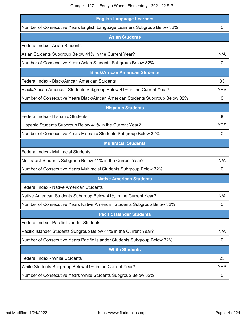| <b>English Language Learners</b>                                               |            |
|--------------------------------------------------------------------------------|------------|
| Number of Consecutive Years English Language Learners Subgroup Below 32%       | 0          |
| <b>Asian Students</b>                                                          |            |
| Federal Index - Asian Students                                                 |            |
| Asian Students Subgroup Below 41% in the Current Year?                         | N/A        |
| Number of Consecutive Years Asian Students Subgroup Below 32%                  | 0          |
| <b>Black/African American Students</b>                                         |            |
| Federal Index - Black/African American Students                                | 33         |
| Black/African American Students Subgroup Below 41% in the Current Year?        | <b>YES</b> |
| Number of Consecutive Years Black/African American Students Subgroup Below 32% | 0          |
| <b>Hispanic Students</b>                                                       |            |
| Federal Index - Hispanic Students                                              | 30         |
| Hispanic Students Subgroup Below 41% in the Current Year?                      | <b>YES</b> |
| Number of Consecutive Years Hispanic Students Subgroup Below 32%               | 0          |
| <b>Multiracial Students</b>                                                    |            |
| Federal Index - Multiracial Students                                           |            |
| Multiracial Students Subgroup Below 41% in the Current Year?                   | N/A        |
| Number of Consecutive Years Multiracial Students Subgroup Below 32%            | 0          |
| <b>Native American Students</b>                                                |            |
| Federal Index - Native American Students                                       |            |
| Native American Students Subgroup Below 41% in the Current Year?               | N/A        |
| Number of Consecutive Years Native American Students Subgroup Below 32%        | 0          |
| <b>Pacific Islander Students</b>                                               |            |
| Federal Index - Pacific Islander Students                                      |            |
| Pacific Islander Students Subgroup Below 41% in the Current Year?              | N/A        |
| Number of Consecutive Years Pacific Islander Students Subgroup Below 32%       | 0          |
| <b>White Students</b>                                                          |            |
| <b>Federal Index - White Students</b>                                          | 25         |
| White Students Subgroup Below 41% in the Current Year?                         | <b>YES</b> |
| Number of Consecutive Years White Students Subgroup Below 32%                  | 0          |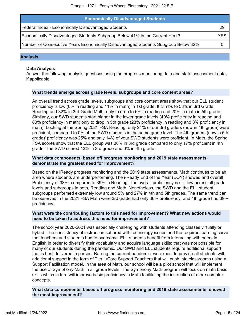| <b>Economically Disadvantaged Students</b>                                         |            |
|------------------------------------------------------------------------------------|------------|
| Federal Index - Economically Disadvantaged Students                                | 29         |
| Economically Disadvantaged Students Subgroup Below 41% in the Current Year?        | <b>YES</b> |
| Number of Consecutive Years Economically Disadvantaged Students Subgroup Below 32% |            |

#### **Analysis**

#### **Data Analysis**

Answer the following analysis questions using the progress monitoring data and state assessment data, if applicable.

#### **What trends emerge across grade levels, subgroups and core content areas?**

An overall trend across grade levels, subgroups and core content areas show that our ELL student proficiency is low (0% in reading and 11% in math) in 1st grade. It climbs to 53% in 3rd Grade Reading and 32% in 3rd Grade Math, only to drop to 5% in reading and 20% in math in 5th grade. Similarly, our SWD students start higher in the lower grade levels (40% proficiency in reading and 80% proficiency in math) only to drop in 5th grade (23% proficiency in reading and 8% proficiency in math). Looking at the Spring 2021 FSA Reading, only 24% of our 3rd graders (now in 4th grade) were proficient, compared to 0% of the SWD students in the same grade level. The 4th graders (now in 5th grade)' proficiency was 25% and only 14% of your SWD students were proficient. In Math, the Spring FSA scores show that the ELL group was 30% in 3rd grade compared to only 17% proficient in 4th grade. The SWD scored 13% in 3rd grade and 0% in 4th grade.

#### **What data components, based off progress monitoring and 2019 state assessments, demonstrate the greatest need for improvement?**

Based on the iReady progress monitoring and the 2019 state assessments, Math continues to be an area where students are underperforming. The i-Ready End of the Year (EOY) showed and overall Proficiency of 33%, compared to 39% in Reading. The overall proficiency is still low across all grade levels and subgroups in both, Reading and Math. Nonetheless, the SWD and the ELL student subgroups performed extremely low around 5% and 27% in 4th and 5th grades. The same trend can be observed in the 2021 FSA Math were 3rd grade had only 36% proficiency, and 4th grade had 39% proficiency.

#### **What were the contributing factors to this need for improvement? What new actions would need to be taken to address this need for improvement?**

The school year 2020-2021 was especially challenging with students attending classes virtually or hybrid. The consistency of instruction suffered with technology issues and the required learning curve that teachers and students had to overcome. ELL students benefit from interacting with peers in English in order to diversify their vocabulary and acquire language skills; that was not possible for many of our students during the pandemic. Our SWD and ELL students require additional support that is best delivered in person. Barring the current pandemic, we expect to provide all students with additional support in the form of Tier 1/Core Support Teachers that will push into classrooms using a Support Facilitation model. In the area of Math, our school will be a pilot school that will implement the use of Symphony Math in all grade levels. The Symphony Math program will focus on math basic skills which in turn will improve basic proficiency in Math facilitating the instruction of more complex concepts.

**What data components, based off progress monitoring and 2019 state assessments, showed the most improvement?**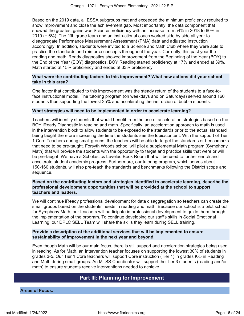Based on the 2019 data, all ESSA subgroups met and exceeded the minimum proficiency required to show improvement and close the achievement gap. Most importantly, the data component that showed the greatest gains was Science proficiency with an increase from 54% in 2018 to 60% in 2019 (+ 6%). The fifth grade team and an instructional coach worked side by side all year to disaggregate Performance Measurement Assessment (PMA) data and adjusted instruction accordingly. In addition, students were invited to a Science and Math Club where they were able to practice the standards and reinforce concepts throughout the year. Currently, this past year the reading and math iReady diagnostics showed improvement from the Beginning of the Year (BOY) to the End of the Year (EOY) diagnostics. BOY Reading started proficiency at 17% and ended at 39%. Math started at 15% proficiency and ended at 33% proficiency.

#### **What were the contributing factors to this improvement? What new actions did your school take in this area?**

One factor that contributed to this improvement was the steady return of the students to a face-toface instructional model. The tutoring program (on weekdays and on Saturdays) served around 160 students thus supporting the lowest 25% and accelerating the instruction of bubble students.

#### **What strategies will need to be implemented in order to accelerate learning?**

Teachers will identify students that would benefit from the use of acceleration strategies based on the BOY iReady Diagnostic in reading and math. Specifically, an acceleration approach to math is used in the intervention block to allow students to be exposed to the standards prior to the actual standard being taught therefore increasing the time the students see the topic/content. With the support of Tier 1 Core Teachers during small groups, the teachers will be able to target the standards or benchmarks that need to be pre-taught. Forsyth Woods school will pilot a supplemental Math program (Symphony Math) that will provide the students with the opportunity to target and practice skills that were or will be pre-taught. We have a Scholastics Leveled Book Room that will be used to further enrich and accelerate student academic progress. Furthermore, our tutoring program, which serves about 150-160 students, will also pre-teach the standards and benchmarks following the District scope and sequence.

#### **Based on the contributing factors and strategies identified to accelerate learning, describe the professional development opportunities that will be provided at the school to support teachers and leaders.**

We will continue iReady professional development for data disaggregation so teachers can create the small groups based on the students' needs in reading and math. Because our school is a pilot school for Symphony Math, our teachers will participate in professional development to guide them through the implementation of the program. To continue developing our staff's skills in Social Emotional Learning, our DPLC SELL Team will share the skills they learn during SELL training.

#### **Provide a description of the additional services that will be implemented to ensure sustainability of improvement in the next year and beyond.**

Even though Math will be our main focus, there is still support and acceleration strategies being used in reading. As for Math, an Intervention teacher focuses on supporting the lowest 30% of students in grades 3-5. Our Tier 1 Core teachers will support Core instruction (Tier 1) in grades K-5 in Reading and Math during small groups. An MTSS Coordinator will support the Tier 3 students (reading and/or math) to ensure students receive interventions needed to achieve.

# **Part III: Planning for Improvement**

<span id="page-15-0"></span>**Areas of Focus:**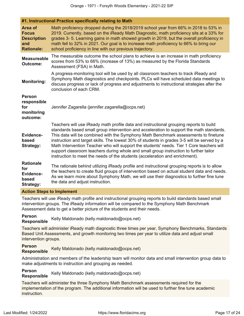|                                                                           | $\sim$ . Then actional Fractice opeenframy relating to math                                                                                                                                                                                                                                                                                                                                                                                                                                                                                                                                                                                    |  |  |  |  |
|---------------------------------------------------------------------------|------------------------------------------------------------------------------------------------------------------------------------------------------------------------------------------------------------------------------------------------------------------------------------------------------------------------------------------------------------------------------------------------------------------------------------------------------------------------------------------------------------------------------------------------------------------------------------------------------------------------------------------------|--|--|--|--|
| Area of<br><b>Focus</b><br><b>Description</b><br>and<br><b>Rationale:</b> | Math proficiency dropped during the 2018/2019 school year from 66% in 2018 to 53% in<br>2019. Currently, based on the iReady Math Diagnostic, math proficiency sits at a 33% for<br>grades 3-5. Learning gains in math showed growth in 2019, but the overall proficiency in<br>math fell to 32% in 2021. Our goal is to increase math proficiency to 66% to bring our<br>school proficiency in line with our previous trajectory.                                                                                                                                                                                                             |  |  |  |  |
| <b>Measureable</b><br><b>Outcome:</b>                                     | The measurable outcome the school plans to achieve is an increase in math proficiency<br>scores from 53% to 66% (increase of 13%) as measured by the Florida Standards<br>Assessment (FSA) in Math.                                                                                                                                                                                                                                                                                                                                                                                                                                            |  |  |  |  |
| <b>Monitoring:</b>                                                        | A progress-monitoring tool will be used by all classroom teachers to track iReady and<br>Symphony Math diagnostics and checkpoints. PLCs will have scheduled data meetings to<br>discuss progress or lack of progress and adjustments to instructional strategies after the<br>conclusion of each CRM.                                                                                                                                                                                                                                                                                                                                         |  |  |  |  |
| <b>Person</b><br>responsible<br>for<br>monitoring<br>outcome:             | Jennifer Zagarella (jennifer.zagarella@ocps.net)                                                                                                                                                                                                                                                                                                                                                                                                                                                                                                                                                                                               |  |  |  |  |
| Evidence-<br>based<br><b>Strategy:</b>                                    | Teachers will use iReady math profile data and instructional grouping reports to build<br>standards based small group intervention and acceleration to support the math standards.<br>This data will be combined with the Symphony Math Benchmark assessments to finetune<br>instruction and target skills. The lowest 30% of students in grades 3-5 will be served by a<br>Math Intervention Teacher who will support the students' needs. Tier 1 Core teachers will<br>support classroom teachers during whole and small group instruction to further tailor<br>instruction to meet the needs of the students (acceleration and enrichment). |  |  |  |  |
| <b>Rationale</b><br>for<br><b>Evidence-</b><br>based<br><b>Strategy:</b>  | The rationale behind utilizing iReady profile and instructional grouping reports is to allow<br>the teachers to create fluid groups of intervention based on actual student data and needs.<br>As we learn more about Symphony Math, we will use their diagnostics to further fine tune<br>the data and adjust instruction.                                                                                                                                                                                                                                                                                                                    |  |  |  |  |

#### **Action Steps to Implement**

Teachers will use iReady math profile and instructional grouping reports to build standards based small intervention groups. The iReady information will be compared to the Symphony Math Benchmark Assessment data to get a better picture of the students and their needs.

**Person Responsible** Kelly Maldonado (kelly.maldonado@ocps.net)

**#1. Instructional Practice specifically relating to Math**

Teachers will administer iReady math diagnostic three times per year, Symphony Benchmarks, Standards Based Unit Assessments, and growth monitoring two times per year to utilize data and adjust small intervention groups.

**Person Responsible** Kelly Maldonado (kelly.maldonado@ocps.net)

Administration and members of the leadership team will monitor data and small intervention group data to make adjustments to instruction and grouping as needed.

**Person Responsible** Kelly Maldonado (kelly.maldonado@ocps.net)

Teachers will administer the three Symphony Math Benchmark assessments required for the implementation of the program. The additional information will be used to further fine tune academic instruction.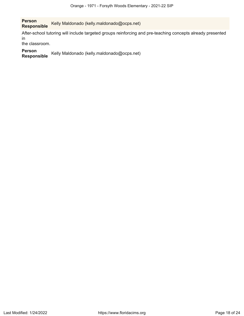**Person** Kelly Maldonado (kelly.maldonado@ocps.net)

After-school tutoring will include targeted groups reinforcing and pre-teaching concepts already presented in

the classroom.

**Person** Kelly Maldonado (kelly.maldonado@ocps.net)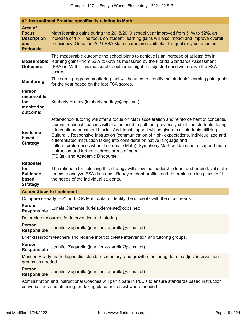| #2. Instructional Practice specifically relating to Math                                                                                                                         |                                                                                                                                                                                                                                                                                                                                                                                                                                                                                                                                                                                                                                                       |  |  |  |  |  |
|----------------------------------------------------------------------------------------------------------------------------------------------------------------------------------|-------------------------------------------------------------------------------------------------------------------------------------------------------------------------------------------------------------------------------------------------------------------------------------------------------------------------------------------------------------------------------------------------------------------------------------------------------------------------------------------------------------------------------------------------------------------------------------------------------------------------------------------------------|--|--|--|--|--|
| <b>Area of</b><br><b>Focus</b><br><b>Description</b><br>and<br><b>Rationale:</b>                                                                                                 | Math learning gains during the 2018/2019 school year improved from 51% to 52%, an<br>increase of 1%. The focus on student' learning gains will also impact and improve overall<br>proficiency. Once the 2021 FSA Math scores are available, this goal may be adjusted.                                                                                                                                                                                                                                                                                                                                                                                |  |  |  |  |  |
| <b>Measureable</b><br><b>Outcome:</b>                                                                                                                                            | The measurable outcome the school plans to achieve is an increase of at least 8% in<br>learning gains--from 52% to 60% as measured by the Florida Standards Assessment<br>(FSA) in Math. This measurable outcome might be adjusted once we receive the FSA<br>scores.                                                                                                                                                                                                                                                                                                                                                                                 |  |  |  |  |  |
| <b>Monitoring:</b>                                                                                                                                                               | The same progress-monitoring tool will be used to identify the students' learning gain goals<br>for the year based on the last FSA scores.                                                                                                                                                                                                                                                                                                                                                                                                                                                                                                            |  |  |  |  |  |
| <b>Person</b><br>responsible<br>for<br>monitoring<br>outcome:                                                                                                                    | Kimberly Hartley (kimberly.hartley@ocps.net)                                                                                                                                                                                                                                                                                                                                                                                                                                                                                                                                                                                                          |  |  |  |  |  |
| Evidence-<br>based<br><b>Strategy:</b>                                                                                                                                           | After-school tutoring will offer a focus on Math acceleration and reinforcement of concepts.<br>Our instructional coaches will also be used to pull- out previously identified students during<br>intervention/enrichment blocks. Additional support will be given to all students utilizing<br>Culturally Responsive Instruction (communication of high-expectations, individualized and<br>differentiated instruction taking into consideration native language and<br>cultural preferences when it comes to Math). Symphony Math will be used to support math<br>instruction and further address areas of need.<br>(TDQs), and Academic Discourse. |  |  |  |  |  |
| <b>Rationale</b><br>for<br>Evidence-<br>based<br><b>Strategy:</b>                                                                                                                | The rationale for selecting this strategy will allow the leadership team and grade level math<br>teams to analyze FSA data and i-Ready student profiles and determine action plans to fit<br>the needs of the individual students.                                                                                                                                                                                                                                                                                                                                                                                                                    |  |  |  |  |  |
| <b>Action Steps to Implement</b>                                                                                                                                                 |                                                                                                                                                                                                                                                                                                                                                                                                                                                                                                                                                                                                                                                       |  |  |  |  |  |
|                                                                                                                                                                                  | Compare i-Ready EOY and FSA Math data to identify the students with the most needs.                                                                                                                                                                                                                                                                                                                                                                                                                                                                                                                                                                   |  |  |  |  |  |
| <b>Person</b><br><b>Responsible</b>                                                                                                                                              | Luriela Clemente (luriela.clemente@ocps.net)                                                                                                                                                                                                                                                                                                                                                                                                                                                                                                                                                                                                          |  |  |  |  |  |
|                                                                                                                                                                                  | Determine resources for intervention and tutoring.                                                                                                                                                                                                                                                                                                                                                                                                                                                                                                                                                                                                    |  |  |  |  |  |
| <b>Person</b><br><b>Responsible</b>                                                                                                                                              | Jennifer Zagarella (jennifer.zagarella@ocps.net)                                                                                                                                                                                                                                                                                                                                                                                                                                                                                                                                                                                                      |  |  |  |  |  |
|                                                                                                                                                                                  | Brief classroom teachers and receive input to create intervention and tutoring groups.                                                                                                                                                                                                                                                                                                                                                                                                                                                                                                                                                                |  |  |  |  |  |
| <b>Person</b><br><b>Responsible</b>                                                                                                                                              | Jennifer Zagarella (jennifer.zagarella@ocps.net)                                                                                                                                                                                                                                                                                                                                                                                                                                                                                                                                                                                                      |  |  |  |  |  |
| Monitor iReady math diagnostic, standards mastery, and growth monitoring data to adjust intervention<br>groups as needed.                                                        |                                                                                                                                                                                                                                                                                                                                                                                                                                                                                                                                                                                                                                                       |  |  |  |  |  |
| <b>Person</b><br><b>Responsible</b>                                                                                                                                              | Jennifer Zagarella (jennifer.zagarella@ocps.net)                                                                                                                                                                                                                                                                                                                                                                                                                                                                                                                                                                                                      |  |  |  |  |  |
| Administration and Instructional Coaches will participate in PLC's to ensure standards based instruction<br>conversations and planning are taking place and assist where needed. |                                                                                                                                                                                                                                                                                                                                                                                                                                                                                                                                                                                                                                                       |  |  |  |  |  |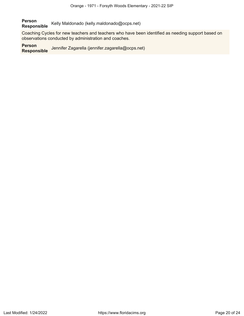**Person Responsible** Kelly Maldonado (kelly.maldonado@ocps.net)

Coaching Cycles for new teachers and teachers who have been identified as needing support based on observations conducted by administration and coaches.

#### **Person**

**Responsible** Jennifer Zagarella (jennifer.zagarella@ocps.net)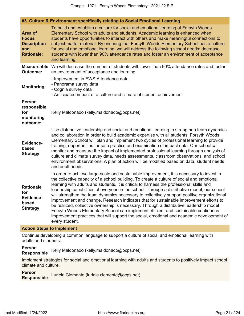**#3. Culture & Environment specifically relating to Social Emotional Learning**

| Area of<br><b>Focus</b><br><b>Description</b><br>and<br><b>Rationale:</b> | To build and establish a culture for social and emotional learning at Forsyth Woods<br>Elementary School with adults and students. Academic learning is enhanced when<br>students have opportunities to interact with others and make meaningful connections to<br>subject matter material. By ensuring that Forsyth Woods Elementary School has a culture<br>for social and emotional learning, we will address the following school needs: decrease<br>students with lower than 90% attendance rates and foster an environment of acceptance<br>and learning.                                                                                                                                                                                                                                                                                                            |  |  |  |  |
|---------------------------------------------------------------------------|----------------------------------------------------------------------------------------------------------------------------------------------------------------------------------------------------------------------------------------------------------------------------------------------------------------------------------------------------------------------------------------------------------------------------------------------------------------------------------------------------------------------------------------------------------------------------------------------------------------------------------------------------------------------------------------------------------------------------------------------------------------------------------------------------------------------------------------------------------------------------|--|--|--|--|
| <b>Measureable</b><br><b>Outcome:</b>                                     | We will decrease the number of students with lower than 90% attendance rates and foster<br>an environment of acceptance and learning.                                                                                                                                                                                                                                                                                                                                                                                                                                                                                                                                                                                                                                                                                                                                      |  |  |  |  |
| <b>Monitoring:</b>                                                        | - Improvement in EWS Attendance data<br>- Panorama survey data<br>- Cognia survey data<br>- Anticipated impact of a culture and climate of student achievement                                                                                                                                                                                                                                                                                                                                                                                                                                                                                                                                                                                                                                                                                                             |  |  |  |  |
| <b>Person</b><br>responsible<br>for<br>monitoring<br>outcome:             | Kelly Maldonado (kelly.maldonado@ocps.net)                                                                                                                                                                                                                                                                                                                                                                                                                                                                                                                                                                                                                                                                                                                                                                                                                                 |  |  |  |  |
| Evidence-<br>based<br><b>Strategy:</b>                                    | Use distributive leadership and social and emotional learning to strengthen team dynamics<br>and collaboration in order to build academic expertise with all students. Forsyth Woods<br>Elementary School will plan and implement two cycles of professional learning to provide<br>training, opportunities for safe practice and examination of impact data. Our school will<br>monitor and measure the impact of implemented professional learning through analysis of<br>culture and climate survey data, needs assessments, classroom observations, and school<br>environment observations. A plan of action will be modified based on data, student needs<br>and adult needs.                                                                                                                                                                                         |  |  |  |  |
| <b>Rationale</b><br>for<br>Evidence-<br>based<br><b>Strategy:</b>         | In order to achieve large-scale and sustainable improvement, it is necessary to invest in<br>the collective capacity of a school building. To create a culture of social and emotional<br>learning with adults and students, it is critical to harness the professional skills and<br>leadership capabilities of everyone in the school. Through a distributive model, our school<br>will strengthen the team dynamics necessary to collectively support positive organizational<br>improvement and change. Research indicates that for sustainable improvement efforts to<br>be realized, collective ownership is necessary. Through a distributive leadership model<br>Forsyth Woods Elementary School can implement efficient and sustainable continuous<br>improvement practices that will support the social, emotional and academic development of<br>every student. |  |  |  |  |

#### **Action Steps to Implement**

Continue developing a common language to support a culture of social and emotional learning with adults and students.

**Person** Kelly Maldonado (kelly.maldonado@ocps.net)

Implement strategies for social and emotional learning with adults and students to positively impact school climate and culture.

**Person Responsible** Luriela Clemente (luriela.clemente@ocps.net)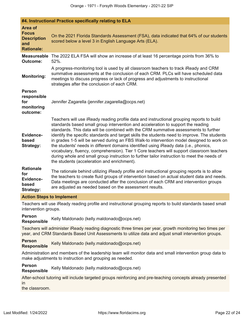|                                                                           | #4. Instructional Practice specifically relating to ELA                                                                                                                                                                                                                                                                                                                                                                                                                                                                                                                                                                                                                                                                                                                                               |  |  |  |  |
|---------------------------------------------------------------------------|-------------------------------------------------------------------------------------------------------------------------------------------------------------------------------------------------------------------------------------------------------------------------------------------------------------------------------------------------------------------------------------------------------------------------------------------------------------------------------------------------------------------------------------------------------------------------------------------------------------------------------------------------------------------------------------------------------------------------------------------------------------------------------------------------------|--|--|--|--|
| Area of<br><b>Focus</b><br><b>Description</b><br>and<br><b>Rationale:</b> | On the 2021 Florida Standards Assessment (FSA), data indicated that 64% of our students<br>scored below a level 3 in English Language Arts (ELA).                                                                                                                                                                                                                                                                                                                                                                                                                                                                                                                                                                                                                                                     |  |  |  |  |
| <b>Measureable</b><br><b>Outcome:</b>                                     | The 2022 ELA FSA will show an increase of at least 16 percentage points from 36% to<br>52%.                                                                                                                                                                                                                                                                                                                                                                                                                                                                                                                                                                                                                                                                                                           |  |  |  |  |
| <b>Monitoring:</b>                                                        | A progress-monitoring tool is used by all classroom teachers to track iReady and CRM<br>summative assessments at the conclusion of each CRM. PLCs will have scheduled data<br>meetings to discuss progress or lack of progress and adjustments to instructional<br>strategies after the conclusion of each CRM.                                                                                                                                                                                                                                                                                                                                                                                                                                                                                       |  |  |  |  |
| <b>Person</b><br>responsible<br>for<br>monitoring<br>outcome:             | Jennifer Zagarella (jennifer.zagarella@ocps.net)                                                                                                                                                                                                                                                                                                                                                                                                                                                                                                                                                                                                                                                                                                                                                      |  |  |  |  |
| Evidence-<br>based<br><b>Strategy:</b>                                    | Teachers will use iReady reading profile data and instructional grouping reports to build<br>standards based small group intervention and acceleration to support the reading<br>standards. This data will be combined with the CRM summative assessments to further<br>identify the specific standards and target skills the students need to improve. The students<br>in grades 1-5 will be served during an FBS Walk-to intervention model designed to work on<br>the students' needs in different domains identified using iReady data (i.e., phonics,<br>vocabulary, fluency, comprehension). Tier 1 Core teachers will support classroom teachers<br>during whole and small group instruction to further tailor instruction to meet the needs of<br>the students (acceleration and enrichment). |  |  |  |  |
| <b>Rationale</b><br>for<br>Evidence-<br>based<br><b>Strategy:</b>         | The rationale behind utilizing iReady profile and instructional grouping reports is to allow<br>the teachers to create fluid groups of intervention based on actual student data and needs.<br>Data meetings are conducted after the conclusion of each CRM and intervention groups<br>are adjusted as needed based on the assessment results.                                                                                                                                                                                                                                                                                                                                                                                                                                                        |  |  |  |  |
| <b>Action Steps to Implement</b>                                          |                                                                                                                                                                                                                                                                                                                                                                                                                                                                                                                                                                                                                                                                                                                                                                                                       |  |  |  |  |

Teachers will use iReady reading profile and instructional grouping reports to build standards based small intervention groups.

**Person Responsible** Kelly Maldonado (kelly.maldonado@ocps.net)

Teachers will administer iReady reading diagnostic three times per year, growth monitoring two times per year, and CRM Standards Based Unit Assessments to utilize data and adjust small intervention groups.

**Person Responsible** Kelly Maldonado (kelly.maldonado@ocps.net)

Administration and members of the leadership team will monitor data and small intervention group data to make adjustments to instruction and grouping as needed.

# **Person**

**Responsible** Kelly Maldonado (kelly.maldonado@ocps.net)

After-school tutoring will include targeted groups reinforcing and pre-teaching concepts already presented in

the classroom.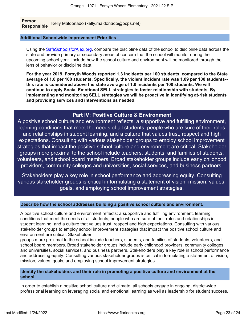**Person Responsible** Kelly Maldonado (kelly.maldonado@ocps.net)

#### **Additional Schoolwide Improvement Priorities**

Using the [SafeSchoolsforAlex.org](https://www.safeschoolsforalex.org/fl-school-safety-dashboard/), compare the discipline data of the school to discipline data across the state and provide primary or secondary areas of concern that the school will monitor during the upcoming school year. Include how the school culture and environment will be monitored through the lens of behavior or discipline data.

**For the year 2019, Forsyth Woods reported 1.3 incidents per 100 students, compared to the State average of 1.0 per 100 students. Specifically, the violent incident rate was 1.09 per 100 students- this rate is considered above the state average of 1.0 incidents per 100 students. We will continue to apply Social Emotional SELL strategies to foster relationship with students. By implementing and monitoring SELL strategies we will be proactive in identifying at-risk students and providing services and interventions as needed.**

## **Part IV: Positive Culture & Environment**

<span id="page-22-0"></span>A positive school culture and environment reflects: a supportive and fulfilling environment, learning conditions that meet the needs of all students, people who are sure of their roles and relationships in student learning, and a culture that values trust, respect and high expectations. Consulting with various stakeholder groups to employ school improvement strategies that impact the positive school culture and environment are critical. Stakeholder groups more proximal to the school include teachers, students, and families of students, volunteers, and school board members. Broad stakeholder groups include early childhood providers, community colleges and universities, social services, and business partners.

Stakeholders play a key role in school performance and addressing equity. Consulting various stakeholder groups is critical in formulating a statement of vision, mission, values, goals, and employing school improvement strategies.

#### **Describe how the school addresses building a positive school culture and environment.**

A positive school culture and environment reflects: a supportive and fulfilling environment, learning conditions that meet the needs of all students, people who are sure of their roles and relationships in student learning, and a culture that values trust, respect and high expectations. Consulting with various stakeholder groups to employ school improvement strategies that impact the positive school culture and environment are critical. Stakeholder

groups more proximal to the school include teachers, students, and families of students, volunteers, and school board members. Broad stakeholder groups include early childhood providers, community colleges and universities, social services, and business partners. Stakeholders play a key role in school performance and addressing equity. Consulting various stakeholder groups is critical in formulating a statement of vision, mission, values, goals, and employing school improvement strategies.

#### **Identify the stakeholders and their role in promoting a positive culture and environment at the school.**

In order to establish a positive school culture and climate, all schools engage in ongoing, district-wide professional learning on leveraging social and emotional learning as well as leadership for student success.